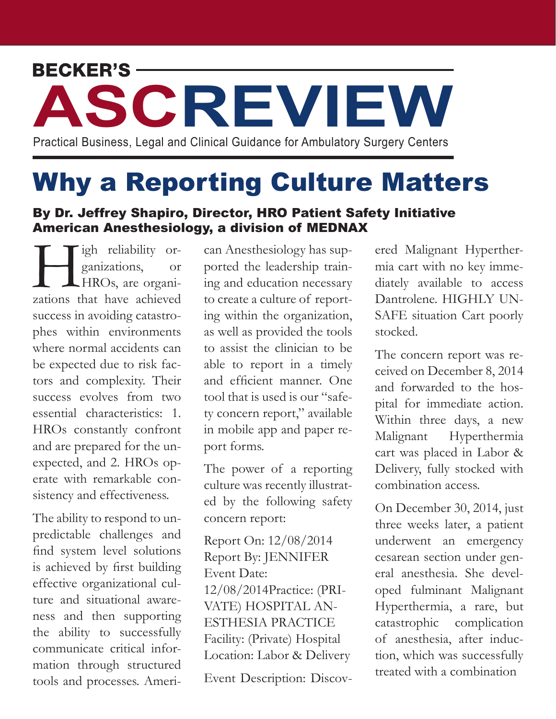## Practical Business, Legal and Clinical Guidance for Ambulatory Surgery Centers**ASCREVIEW**

Why a Reporting Culture Matters

## By Dr. Jeffrey Shapiro, Director, HRO Patient Safety Initiative American Anesthesiology, a division of MEDNAX

Tigh reliability or-<br>ganizations, or<br>HROs, are organizations that have achieved ganizations, or HROs, are organizations that have achieved success in avoiding catastrophes within environments where normal accidents can be expected due to risk factors and complexity. Their success evolves from two essential characteristics: 1. HROs constantly confront and are prepared for the unexpected, and 2. HROs operate with remarkable consistency and effectiveness.

The ability to respond to unpredictable challenges and find system level solutions is achieved by first building effective organizational culture and situational awareness and then supporting the ability to successfully communicate critical information through structured tools and processes. Ameri-

can Anesthesiology has supported the leadership training and education necessary to create a culture of reporting within the organization, as well as provided the tools to assist the clinician to be able to report in a timely and efficient manner. One tool that is used is our "safety concern report," available in mobile app and paper report forms.

The power of a reporting culture was recently illustrated by the following safety concern report:

Report On: 12/08/2014 Report By: JENNIFER Event Date: 12/08/2014Practice: (PRI-VATE) HOSPITAL AN-ESTHESIA PRACTICE Facility: (Private) Hospital Location: Labor & Delivery

Event Description: Discov-

ered Malignant Hyperthermia cart with no key immediately available to access Dantrolene. HIGHLY UN-SAFE situation Cart poorly stocked.

The concern report was received on December 8, 2014 and forwarded to the hospital for immediate action. Within three days, a new Malignant Hyperthermia cart was placed in Labor & Delivery, fully stocked with combination access.

On December 30, 2014, just three weeks later, a patient underwent an emergency cesarean section under general anesthesia. She developed fulminant Malignant Hyperthermia, a rare, but catastrophic complication of anesthesia, after induction, which was successfully treated with a combination